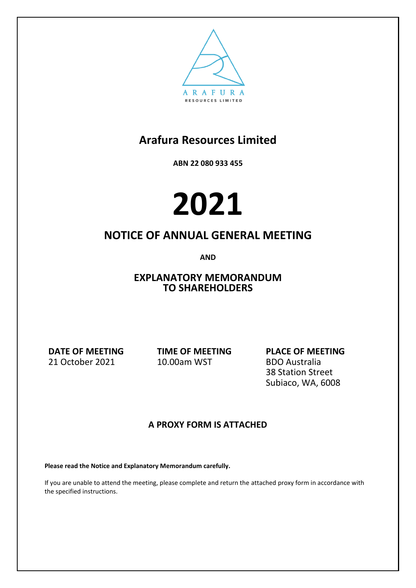

**ABN 22 080 933 455**

# **2021**

### **NOTICE OF ANNUAL GENERAL MEETING**

**AND**

**EXPLANATORY MEMORANDUM TO SHAREHOLDERS**

**DATE OF MEETING** 21 October 2021

**TIME OF MEETING** 10.00am WST

**PLACE OF MEETING** BDO Australia 38 Station Street Subiaco, WA, 6008

### **A PROXY FORM IS ATTACHED**

**Please read the Notice and Explanatory Memorandum carefully.**

If you are unable to attend the meeting, please complete and return the attached proxy form in accordance with the specified instructions.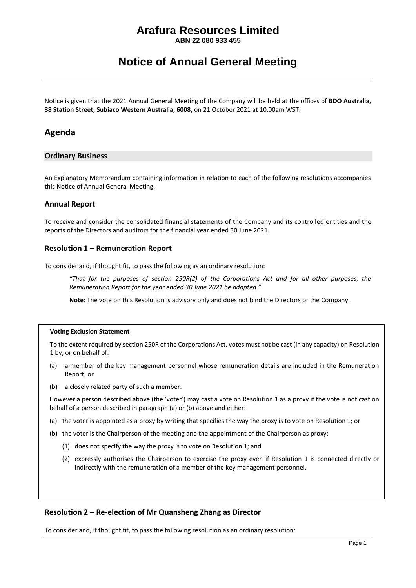**ABN 22 080 933 455**

### **Notice of Annual General Meeting**

Notice is given that the 2021 Annual General Meeting of the Company will be held at the offices of **BDO Australia, 38 Station Street, Subiaco Western Australia, 6008,** on 21 October 2021 at 10.00am WST.

#### **Agenda**

#### **Ordinary Business**

An Explanatory Memorandum containing information in relation to each of the following resolutions accompanies this Notice of Annual General Meeting.

#### **Annual Report**

To receive and consider the consolidated financial statements of the Company and its controlled entities and the reports of the Directors and auditors for the financial year ended 30 June 2021.

#### **Resolution 1 – Remuneration Report**

To consider and, if thought fit, to pass the following as an ordinary resolution:

*"That for the purposes of section 250R(2) of the Corporations Act and for all other purposes, the Remuneration Report for the year ended 30 June 2021 be adopted."*

**Note**: The vote on this Resolution is advisory only and does not bind the Directors or the Company.

#### **Voting Exclusion Statement**

To the extent required by section 250R of the Corporations Act, votes must not be cast (in any capacity) on Resolution 1 by, or on behalf of:

- (a) a member of the key management personnel whose remuneration details are included in the Remuneration Report; or
- (b) a closely related party of such a member.

However a person described above (the 'voter') may cast a vote on Resolution 1 as a proxy if the vote is not cast on behalf of a person described in paragraph (a) or (b) above and either:

- (a) the voter is appointed as a proxy by writing that specifies the way the proxy is to vote on Resolution 1; or
- (b) the voter is the Chairperson of the meeting and the appointment of the Chairperson as proxy:
	- (1) does not specify the way the proxy is to vote on Resolution 1; and
	- (2) expressly authorises the Chairperson to exercise the proxy even if Resolution 1 is connected directly or indirectly with the remuneration of a member of the key management personnel.

#### **Resolution 2 – Re-election of Mr Quansheng Zhang as Director**

To consider and, if thought fit, to pass the following resolution as an ordinary resolution: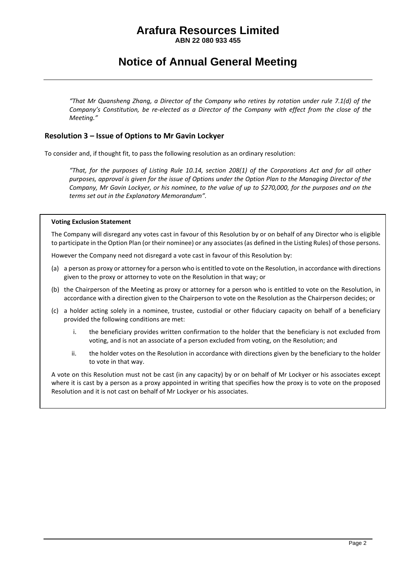**ABN 22 080 933 455**

### **Notice of Annual General Meeting**

*"That Mr Quansheng Zhang, a Director of the Company who retires by rotation under rule 7.1(d) of the Company's Constitution, be re-elected as a Director of the Company with effect from the close of the Meeting."*

#### **Resolution 3 – Issue of Options to Mr Gavin Lockyer**

To consider and, if thought fit, to pass the following resolution as an ordinary resolution:

*"That, for the purposes of Listing Rule 10.14, section 208(1) of the Corporations Act and for all other purposes, approval is given for the issue of Options under the Option Plan to the Managing Director of the Company, Mr Gavin Lockyer, or his nominee, to the value of up to \$270,000, for the purposes and on the terms set out in the Explanatory Memorandum".*

#### **Voting Exclusion Statement**

The Company will disregard any votes cast in favour of this Resolution by or on behalf of any Director who is eligible to participate in the Option Plan (or their nominee) or any associates (as defined in the Listing Rules) of those persons.

However the Company need not disregard a vote cast in favour of this Resolution by:

- (a) a person as proxy or attorney for a person who is entitled to vote on the Resolution, in accordance with directions given to the proxy or attorney to vote on the Resolution in that way; or
- (b) the Chairperson of the Meeting as proxy or attorney for a person who is entitled to vote on the Resolution, in accordance with a direction given to the Chairperson to vote on the Resolution as the Chairperson decides; or
- (c) a holder acting solely in a nominee, trustee, custodial or other fiduciary capacity on behalf of a beneficiary provided the following conditions are met:
	- i. the beneficiary provides written confirmation to the holder that the beneficiary is not excluded from voting, and is not an associate of a person excluded from voting, on the Resolution; and
	- ii. the holder votes on the Resolution in accordance with directions given by the beneficiary to the holder to vote in that way.

A vote on this Resolution must not be cast (in any capacity) by or on behalf of Mr Lockyer or his associates except where it is cast by a person as a proxy appointed in writing that specifies how the proxy is to vote on the proposed Resolution and it is not cast on behalf of Mr Lockyer or his associates.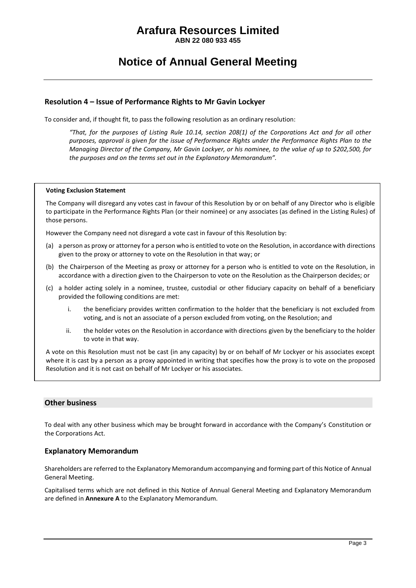**ABN 22 080 933 455**

### **Notice of Annual General Meeting**

#### **Resolution 4 – Issue of Performance Rights to Mr Gavin Lockyer**

To consider and, if thought fit, to pass the following resolution as an ordinary resolution:

*"That, for the purposes of Listing Rule 10.14, section 208(1) of the Corporations Act and for all other purposes, approval is given for the issue of Performance Rights under the Performance Rights Plan to the Managing Director of the Company, Mr Gavin Lockyer, or his nominee, to the value of up to \$202,500, for the purposes and on the terms set out in the Explanatory Memorandum".*

#### **Voting Exclusion Statement**

The Company will disregard any votes cast in favour of this Resolution by or on behalf of any Director who is eligible to participate in the Performance Rights Plan (or their nominee) or any associates (as defined in the Listing Rules) of those persons.

However the Company need not disregard a vote cast in favour of this Resolution by:

- (a) a person as proxy or attorney for a person who is entitled to vote on the Resolution, in accordance with directions given to the proxy or attorney to vote on the Resolution in that way; or
- (b) the Chairperson of the Meeting as proxy or attorney for a person who is entitled to vote on the Resolution, in accordance with a direction given to the Chairperson to vote on the Resolution as the Chairperson decides; or
- (c) a holder acting solely in a nominee, trustee, custodial or other fiduciary capacity on behalf of a beneficiary provided the following conditions are met:
	- i. the beneficiary provides written confirmation to the holder that the beneficiary is not excluded from voting, and is not an associate of a person excluded from voting, on the Resolution; and
	- ii. the holder votes on the Resolution in accordance with directions given by the beneficiary to the holder to vote in that way.

A vote on this Resolution must not be cast (in any capacity) by or on behalf of Mr Lockyer or his associates except where it is cast by a person as a proxy appointed in writing that specifies how the proxy is to vote on the proposed Resolution and it is not cast on behalf of Mr Lockyer or his associates.

#### **Other business**

To deal with any other business which may be brought forward in accordance with the Company's Constitution or the Corporations Act.

#### **Explanatory Memorandum**

Shareholders are referred to the Explanatory Memorandum accompanying and forming part of this Notice of Annual General Meeting.

Capitalised terms which are not defined in this Notice of Annual General Meeting and Explanatory Memorandum are defined in **Annexure A** to the Explanatory Memorandum.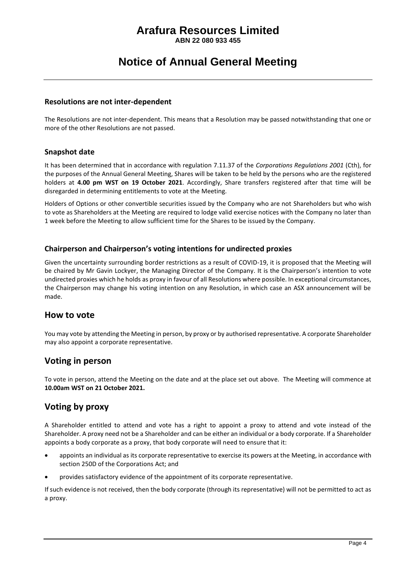**ABN 22 080 933 455**

### **Notice of Annual General Meeting**

#### **Resolutions are not inter-dependent**

The Resolutions are not inter-dependent. This means that a Resolution may be passed notwithstanding that one or more of the other Resolutions are not passed.

#### **Snapshot date**

It has been determined that in accordance with regulation 7.11.37 of the *Corporations Regulations 2001* (Cth), for the purposes of the Annual General Meeting, Shares will be taken to be held by the persons who are the registered holders at **4.00 pm WST on 19 October 2021**. Accordingly, Share transfers registered after that time will be disregarded in determining entitlements to vote at the Meeting.

Holders of Options or other convertible securities issued by the Company who are not Shareholders but who wish to vote as Shareholders at the Meeting are required to lodge valid exercise notices with the Company no later than 1 week before the Meeting to allow sufficient time for the Shares to be issued by the Company.

#### **Chairperson and Chairperson's voting intentions for undirected proxies**

Given the uncertainty surrounding border restrictions as a result of COVID-19, it is proposed that the Meeting will be chaired by Mr Gavin Lockyer, the Managing Director of the Company. It is the Chairperson's intention to vote undirected proxies which he holds as proxy in favour of all Resolutions where possible. In exceptional circumstances, the Chairperson may change his voting intention on any Resolution, in which case an ASX announcement will be made.

#### **How to vote**

You may vote by attending the Meeting in person, by proxy or by authorised representative. A corporate Shareholder may also appoint a corporate representative.

#### **Voting in person**

To vote in person, attend the Meeting on the date and at the place set out above. The Meeting will commence at **10.00am WST on 21 October 2021.**

### **Voting by proxy**

A Shareholder entitled to attend and vote has a right to appoint a proxy to attend and vote instead of the Shareholder. A proxy need not be a Shareholder and can be either an individual or a body corporate. If a Shareholder appoints a body corporate as a proxy, that body corporate will need to ensure that it:

- appoints an individual as its corporate representative to exercise its powers at the Meeting, in accordance with section 250D of the Corporations Act; and
- provides satisfactory evidence of the appointment of its corporate representative.

If such evidence is not received, then the body corporate (through its representative) will not be permitted to act as a proxy.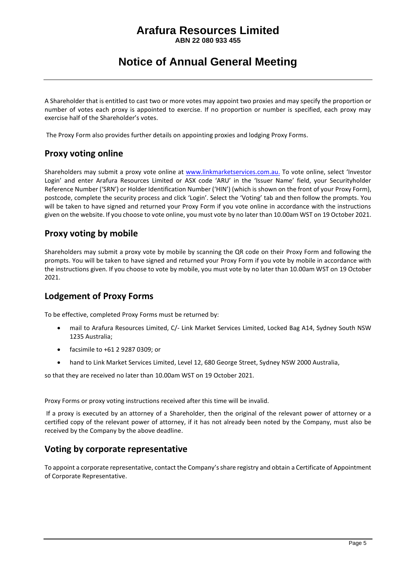**ABN 22 080 933 455**

### **Notice of Annual General Meeting**

A Shareholder that is entitled to cast two or more votes may appoint two proxies and may specify the proportion or number of votes each proxy is appointed to exercise. If no proportion or number is specified, each proxy may exercise half of the Shareholder's votes.

The Proxy Form also provides further details on appointing proxies and lodging Proxy Forms.

### **Proxy voting online**

Shareholders may submit a proxy vote online at [www.linkmarketservices.com.au.](http://www.linkmarketservices.com.au/) To vote online, select 'Investor Login' and enter Arafura Resources Limited or ASX code 'ARU' in the 'Issuer Name' field, your Securityholder Reference Number ('SRN') or Holder Identification Number ('HIN') (which is shown on the front of your Proxy Form), postcode, complete the security process and click 'Login'. Select the 'Voting' tab and then follow the prompts. You will be taken to have signed and returned your Proxy Form if you vote online in accordance with the instructions given on the website. If you choose to vote online, you must vote by no later than 10.00am WST on 19 October 2021.

### **Proxy voting by mobile**

Shareholders may submit a proxy vote by mobile by scanning the QR code on their Proxy Form and following the prompts. You will be taken to have signed and returned your Proxy Form if you vote by mobile in accordance with the instructions given. If you choose to vote by mobile, you must vote by no later than 10.00am WST on 19 October 2021.

### **Lodgement of Proxy Forms**

To be effective, completed Proxy Forms must be returned by:

- mail to Arafura Resources Limited, C/- Link Market Services Limited, Locked Bag A14, Sydney South NSW 1235 Australia;
- facsimile to +61 2 9287 0309; or
- hand to Link Market Services Limited, Level 12, 680 George Street, Sydney NSW 2000 Australia,

so that they are received no later than 10.00am WST on 19 October 2021.

Proxy Forms or proxy voting instructions received after this time will be invalid.

If a proxy is executed by an attorney of a Shareholder, then the original of the relevant power of attorney or a certified copy of the relevant power of attorney, if it has not already been noted by the Company, must also be received by the Company by the above deadline.

### **Voting by corporate representative**

To appoint a corporate representative, contact the Company's share registry and obtain a Certificate of Appointment of Corporate Representative.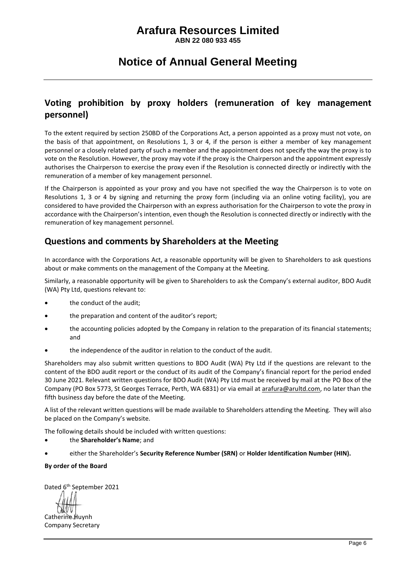**ABN 22 080 933 455**

### **Notice of Annual General Meeting**

### **Voting prohibition by proxy holders (remuneration of key management personnel)**

To the extent required by section 250BD of the Corporations Act, a person appointed as a proxy must not vote, on the basis of that appointment, on Resolutions 1, 3 or 4, if the person is either a member of key management personnel or a closely related party of such a member and the appointment does not specify the way the proxy is to vote on the Resolution. However, the proxy may vote if the proxy is the Chairperson and the appointment expressly authorises the Chairperson to exercise the proxy even if the Resolution is connected directly or indirectly with the remuneration of a member of key management personnel.

If the Chairperson is appointed as your proxy and you have not specified the way the Chairperson is to vote on Resolutions 1, 3 or 4 by signing and returning the proxy form (including via an online voting facility), you are considered to have provided the Chairperson with an express authorisation for the Chairperson to vote the proxy in accordance with the Chairperson's intention, even though the Resolution is connected directly or indirectly with the remuneration of key management personnel.

### **Questions and comments by Shareholders at the Meeting**

In accordance with the Corporations Act, a reasonable opportunity will be given to Shareholders to ask questions about or make comments on the management of the Company at the Meeting.

Similarly, a reasonable opportunity will be given to Shareholders to ask the Company's external auditor, BDO Audit (WA) Pty Ltd, questions relevant to:

- the conduct of the audit;
- the preparation and content of the auditor's report;
- the accounting policies adopted by the Company in relation to the preparation of its financial statements; and
- the independence of the auditor in relation to the conduct of the audit.

Shareholders may also submit written questions to BDO Audit (WA) Pty Ltd if the questions are relevant to the content of the BDO audit report or the conduct of its audit of the Company's financial report for the period ended 30 June 2021. Relevant written questions for BDO Audit (WA) Pty Ltd must be received by mail at the PO Box of the Company (PO Box 5773, St Georges Terrace, Perth, WA 6831) or via email at arafura@arultd.com, no later than the fifth business day before the date of the Meeting.

A list of the relevant written questions will be made available to Shareholders attending the Meeting. They will also be placed on the Company's website.

The following details should be included with written questions:

- the **Shareholder's Name**; and
- either the Shareholder's **Security Reference Number (SRN)** or **Holder Identification Number (HIN).**

#### **By order of the Board**

Dated 6<sup>th</sup> September 2021

Catherine Huynh Company Secretary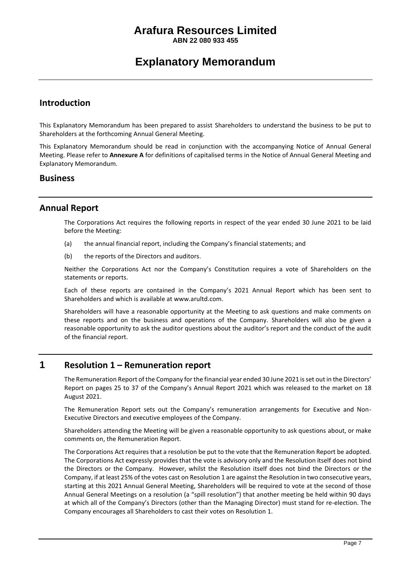**ABN 22 080 933 455**

### **Explanatory Memorandum**

#### **Introduction**

This Explanatory Memorandum has been prepared to assist Shareholders to understand the business to be put to Shareholders at the forthcoming Annual General Meeting.

This Explanatory Memorandum should be read in conjunction with the accompanying Notice of Annual General Meeting. Please refer to **Annexure A** for definitions of capitalised terms in the Notice of Annual General Meeting and Explanatory Memorandum.

#### **Business**

#### **Annual Report**

The Corporations Act requires the following reports in respect of the year ended 30 June 2021 to be laid before the Meeting:

- (a) the annual financial report, including the Company's financial statements; and
- (b) the reports of the Directors and auditors.

Neither the Corporations Act nor the Company's Constitution requires a vote of Shareholders on the statements or reports.

Each of these reports are contained in the Company's 2021 Annual Report which has been sent to Shareholders and which is available at www.arultd.com.

Shareholders will have a reasonable opportunity at the Meeting to ask questions and make comments on these reports and on the business and operations of the Company. Shareholders will also be given a reasonable opportunity to ask the auditor questions about the auditor's report and the conduct of the audit of the financial report.

#### **1 Resolution 1 – Remuneration report**

The Remuneration Report of the Company for the financial year ended 30 June 2021 is set out in the Directors' Report on pages 25 to 37 of the Company's Annual Report 2021 which was released to the market on 18 August 2021.

The Remuneration Report sets out the Company's remuneration arrangements for Executive and Non-Executive Directors and executive employees of the Company.

Shareholders attending the Meeting will be given a reasonable opportunity to ask questions about, or make comments on, the Remuneration Report.

The Corporations Act requires that a resolution be put to the vote that the Remuneration Report be adopted. The Corporations Act expressly provides that the vote is advisory only and the Resolution itself does not bind the Directors or the Company. However, whilst the Resolution itself does not bind the Directors or the Company, if at least 25% of the votes cast on Resolution 1 are against the Resolution in two consecutive years, starting at this 2021 Annual General Meeting, Shareholders will be required to vote at the second of those Annual General Meetings on a resolution (a "spill resolution") that another meeting be held within 90 days at which all of the Company's Directors (other than the Managing Director) must stand for re-election. The Company encourages all Shareholders to cast their votes on Resolution 1.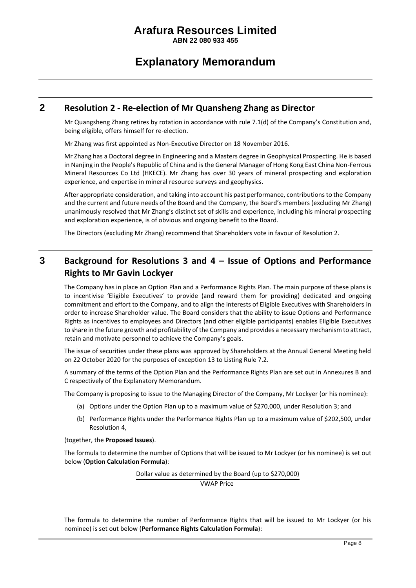**ABN 22 080 933 455**

### **Explanatory Memorandum**

#### **2 Resolution 2 - Re-election of Mr Quansheng Zhang as Director**

Mr Quangsheng Zhang retires by rotation in accordance with rule 7.1(d) of the Company's Constitution and, being eligible, offers himself for re-election.

Mr Zhang was first appointed as Non-Executive Director on 18 November 2016.

Mr Zhang has a Doctoral degree in Engineering and a Masters degree in Geophysical Prospecting. He is based in Nanjing in the People's Republic of China and is the General Manager of Hong Kong East China Non-Ferrous Mineral Resources Co Ltd (HKECE). Mr Zhang has over 30 years of mineral prospecting and exploration experience, and expertise in mineral resource surveys and geophysics.

After appropriate consideration, and taking into account his past performance, contributions to the Company and the current and future needs of the Board and the Company, the Board's members (excluding Mr Zhang) unanimously resolved that Mr Zhang's distinct set of skills and experience, including his mineral prospecting and exploration experience, is of obvious and ongoing benefit to the Board.

The Directors (excluding Mr Zhang) recommend that Shareholders vote in favour of Resolution 2.

### **3 Background for Resolutions 3 and 4 – Issue of Options and Performance Rights to Mr Gavin Lockyer**

The Company has in place an Option Plan and a Performance Rights Plan. The main purpose of these plans is to incentivise 'Eligible Executives' to provide (and reward them for providing) dedicated and ongoing commitment and effort to the Company, and to align the interests of Eligible Executives with Shareholders in order to increase Shareholder value. The Board considers that the ability to issue Options and Performance Rights as incentives to employees and Directors (and other eligible participants) enables Eligible Executives to share in the future growth and profitability of the Company and provides a necessary mechanism to attract, retain and motivate personnel to achieve the Company's goals.

The issue of securities under these plans was approved by Shareholders at the Annual General Meeting held on 22 October 2020 for the purposes of exception 13 to Listing Rule 7.2.

A summary of the terms of the Option Plan and the Performance Rights Plan are set out in Annexures B and C respectively of the Explanatory Memorandum.

The Company is proposing to issue to the Managing Director of the Company, Mr Lockyer (or his nominee):

- (a) Options under the Option Plan up to a maximum value of \$270,000, under Resolution 3; and
- (b) Performance Rights under the Performance Rights Plan up to a maximum value of \$202,500, under Resolution 4,

(together, the **Proposed Issues**).

The formula to determine the number of Options that will be issued to Mr Lockyer (or his nominee) is set out below (**Option Calculation Formula**):

Dollar value as determined by the Board (up to \$270,000)

VWAP Price

The formula to determine the number of Performance Rights that will be issued to Mr Lockyer (or his nominee) is set out below (**Performance Rights Calculation Formula**):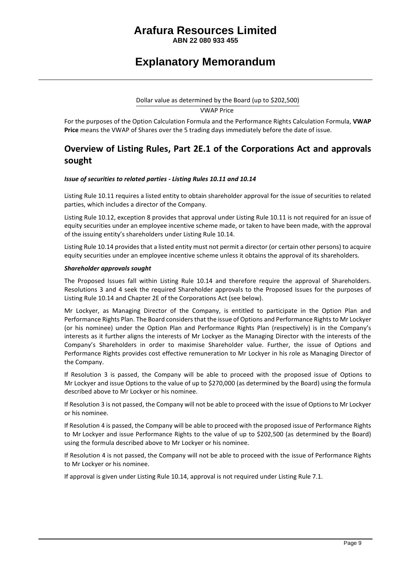**ABN 22 080 933 455**

### **Explanatory Memorandum**

### Dollar value as determined by the Board (up to \$202,500)

VWAP Price

For the purposes of the Option Calculation Formula and the Performance Rights Calculation Formula, **VWAP Price** means the VWAP of Shares over the 5 trading days immediately before the date of issue.

### **Overview of Listing Rules, Part 2E.1 of the Corporations Act and approvals sought**

#### *Issue of securities to related parties - Listing Rules 10.11 and 10.14*

Listing Rule 10.11 requires a listed entity to obtain shareholder approval for the issue of securities to related parties, which includes a director of the Company.

Listing Rule 10.12, exception 8 provides that approval under Listing Rule 10.11 is not required for an issue of equity securities under an employee incentive scheme made, or taken to have been made, with the approval of the issuing entity's shareholders under Listing Rule 10.14.

Listing Rule 10.14 provides that a listed entity must not permit a director (or certain other persons) to acquire equity securities under an employee incentive scheme unless it obtains the approval of its shareholders.

#### *Shareholder approvals sought*

The Proposed Issues fall within Listing Rule 10.14 and therefore require the approval of Shareholders. Resolutions 3 and 4 seek the required Shareholder approvals to the Proposed Issues for the purposes of Listing Rule 10.14 and Chapter 2E of the Corporations Act (see below).

Mr Lockyer, as Managing Director of the Company, is entitled to participate in the Option Plan and Performance Rights Plan. The Board considers that the issue of Options and Performance Rights to Mr Lockyer (or his nominee) under the Option Plan and Performance Rights Plan (respectively) is in the Company's interests as it further aligns the interests of Mr Lockyer as the Managing Director with the interests of the Company's Shareholders in order to maximise Shareholder value. Further, the issue of Options and Performance Rights provides cost effective remuneration to Mr Lockyer in his role as Managing Director of the Company.

If Resolution 3 is passed, the Company will be able to proceed with the proposed issue of Options to Mr Lockyer and issue Options to the value of up to \$270,000 (as determined by the Board) using the formula described above to Mr Lockyer or his nominee.

If Resolution 3 is not passed, the Company will not be able to proceed with the issue of Options to Mr Lockyer or his nominee.

If Resolution 4 is passed, the Company will be able to proceed with the proposed issue of Performance Rights to Mr Lockyer and issue Performance Rights to the value of up to \$202,500 (as determined by the Board) using the formula described above to Mr Lockyer or his nominee.

If Resolution 4 is not passed, the Company will not be able to proceed with the issue of Performance Rights to Mr Lockyer or his nominee.

If approval is given under Listing Rule 10.14, approval is not required under Listing Rule 7.1.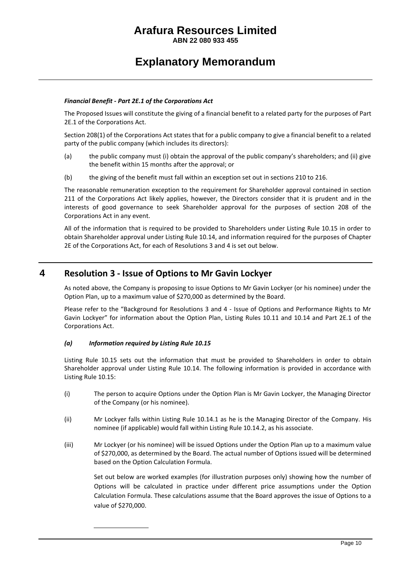**ABN 22 080 933 455**

### **Explanatory Memorandum**

#### *Financial Benefit - Part 2E.1 of the Corporations Act*

The Proposed Issues will constitute the giving of a financial benefit to a related party for the purposes of Part 2E.1 of the Corporations Act.

Section 208(1) of the Corporations Act states that for a public company to give a financial benefit to a related party of the public company (which includes its directors):

- (a) the public company must (i) obtain the approval of the public company's shareholders; and (ii) give the benefit within 15 months after the approval; or
- (b) the giving of the benefit must fall within an exception set out in sections 210 to 216.

The reasonable remuneration exception to the requirement for Shareholder approval contained in section 211 of the Corporations Act likely applies, however, the Directors consider that it is prudent and in the interests of good governance to seek Shareholder approval for the purposes of section 208 of the Corporations Act in any event.

All of the information that is required to be provided to Shareholders under Listing Rule 10.15 in order to obtain Shareholder approval under Listing Rule 10.14, and information required for the purposes of Chapter 2E of the Corporations Act, for each of Resolutions 3 and 4 is set out below.

#### **4 Resolution 3 - Issue of Options to Mr Gavin Lockyer**

As noted above, the Company is proposing to issue Options to Mr Gavin Lockyer (or his nominee) under the Option Plan, up to a maximum value of \$270,000 as determined by the Board.

Please refer to the "Background for Resolutions 3 and 4 - Issue of Options and Performance Rights to Mr Gavin Lockyer" for information about the Option Plan, Listing Rules 10.11 and 10.14 and Part 2E.1 of the Corporations Act.

#### *(a) Information required by Listing Rule 10.15*

Listing Rule 10.15 sets out the information that must be provided to Shareholders in order to obtain Shareholder approval under Listing Rule 10.14. The following information is provided in accordance with Listing Rule 10.15:

- (i) The person to acquire Options under the Option Plan is Mr Gavin Lockyer, the Managing Director of the Company (or his nominee).
- (ii) Mr Lockyer falls within Listing Rule 10.14.1 as he is the Managing Director of the Company. His nominee (if applicable) would fall within Listing Rule 10.14.2, as his associate.
- <span id="page-10-0"></span>(iii) Mr Lockyer (or his nominee) will be issued Options under the Option Plan up to a maximum value of \$270,000, as determined by the Board. The actual number of Options issued will be determined based on the Option Calculation Formula.

Set out below are worked examples (for illustration purposes only) showing how the number of Options will be calculated in practice under different price assumptions under the Option Calculation Formula. These calculations assume that the Board approves the issue of Options to a value of \$270,000.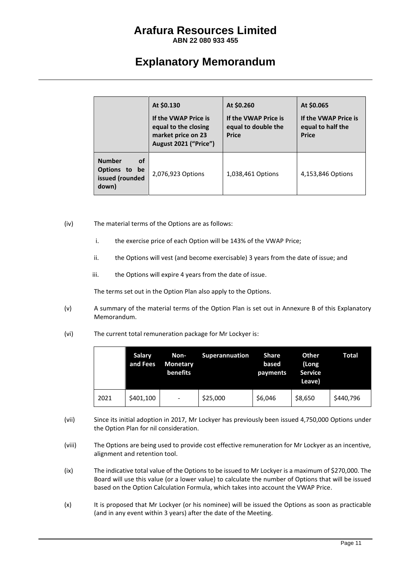**ABN 22 080 933 455**

### **Explanatory Memorandum**

|                                                                  | At \$0.130<br>If the VWAP Price is<br>equal to the closing<br>market price on 23<br>August 2021 ("Price") | At \$0.260<br>If the VWAP Price is<br>equal to double the<br><b>Price</b> | At \$0.065<br>If the VWAP Price is<br>equal to half the<br><b>Price</b> |
|------------------------------------------------------------------|-----------------------------------------------------------------------------------------------------------|---------------------------------------------------------------------------|-------------------------------------------------------------------------|
| <b>Number</b><br>οf<br>Options to be<br>issued (rounded<br>down) | 2,076,923 Options                                                                                         | 1,038,461 Options                                                         | 4,153,846 Options                                                       |

- <span id="page-11-0"></span>(iv) The material terms of the Options are as follows:
	- i. the exercise price of each Option will be 143% of the VWAP Price;
	- ii. the Options will vest (and become exercisable) 3 years from the date of issue; and
	- iii. the Options will expire 4 years from the date of issue.

The terms set out in the Option Plan also apply to the Options.

- <span id="page-11-2"></span>(v) A summary of the material terms of the Option Plan is set out in Annexure B of this Explanatory Memorandum.
- (vi) The current total remuneration package for Mr Lockyer is:

|      | Salary<br>and Fees | Non-<br><b>Monetary</b><br>benefits | <b>Superannuation</b> | <b>Share</b><br>based<br>payments | Other<br>(Long<br><b>Service</b><br>Leave) | Total     |
|------|--------------------|-------------------------------------|-----------------------|-----------------------------------|--------------------------------------------|-----------|
| 2021 | \$401,100          | $\qquad \qquad \blacksquare$        | \$25,000              | \$6,046                           | \$8,650                                    | \$440,796 |

- (vii) Since its initial adoption in 2017, Mr Lockyer has previously been issued 4,750,000 Options under the Option Plan for nil consideration.
- (viii) The Options are being used to provide cost effective remuneration for Mr Lockyer as an incentive, alignment and retention tool.
- <span id="page-11-1"></span>(ix) The indicative total value of the Options to be issued to Mr Lockyer is a maximum of \$270,000. The Board will use this value (or a lower value) to calculate the number of Options that will be issued based on the Option Calculation Formula, which takes into account the VWAP Price.
- (x) It is proposed that Mr Lockyer (or his nominee) will be issued the Options as soon as practicable (and in any event within 3 years) after the date of the Meeting.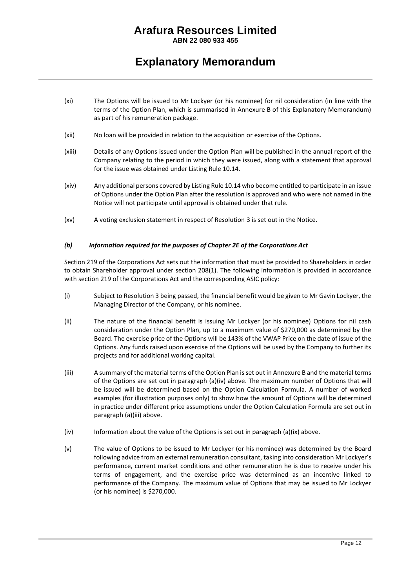**ABN 22 080 933 455**

### **Explanatory Memorandum**

- (xi) The Options will be issued to Mr Lockyer (or his nominee) for nil consideration (in line with the terms of the Option Plan, which is summarised in Annexure B of this Explanatory Memorandum) as part of his remuneration package.
- (xii) No loan will be provided in relation to the acquisition or exercise of the Options.
- (xiii) Details of any Options issued under the Option Plan will be published in the annual report of the Company relating to the period in which they were issued, along with a statement that approval for the issue was obtained under Listing Rule 10.14.
- (xiv) Any additional persons covered by Listing Rule 10.14 who become entitled to participate in an issue of Options under the Option Plan after the resolution is approved and who were not named in the Notice will not participate until approval is obtained under that rule.
- (xv) A voting exclusion statement in respect of Resolution 3 is set out in the Notice.

#### *(b) Information required for the purposes of Chapter 2E of the Corporations Act*

Section 219 of the Corporations Act sets out the information that must be provided to Shareholders in order to obtain Shareholder approval under section 208(1). The following information is provided in accordance with section 219 of the Corporations Act and the corresponding ASIC policy:

- (i) Subject to Resolution 3 being passed, the financial benefit would be given to Mr Gavin Lockyer, the Managing Director of the Company, or his nominee.
- (ii) The nature of the financial benefit is issuing Mr Lockyer (or his nominee) Options for nil cash consideration under the Option Plan, up to a maximum value of \$270,000 as determined by the Board. The exercise price of the Options will be 143% of the VWAP Price on the date of issue of the Options. Any funds raised upon exercise of the Options will be used by the Company to further its projects and for additional working capital.
- (iii) A summary of the material terms of the Option Plan is set out in Annexure B and the material terms of the Options are set out in paragraph (a[\)\(iv\)](#page-11-0) above. The maximum number of Options that will be issued will be determined based on the Option Calculation Formula. A number of worked examples (for illustration purposes only) to show how the amount of Options will be determined in practice under different price assumptions under the Option Calculation Formula are set out in paragraph (a[\)\(iii\)](#page-10-0) above.
- $(iv)$  Information about the value of the Options is set out in paragraph  $(a)(ix)$  $(a)(ix)$  above.
- (v) The value of Options to be issued to Mr Lockyer (or his nominee) was determined by the Board following advice from an external remuneration consultant, taking into consideration Mr Lockyer's performance, current market conditions and other remuneration he is due to receive under his terms of engagement, and the exercise price was determined as an incentive linked to performance of the Company. The maximum value of Options that may be issued to Mr Lockyer (or his nominee) is \$270,000.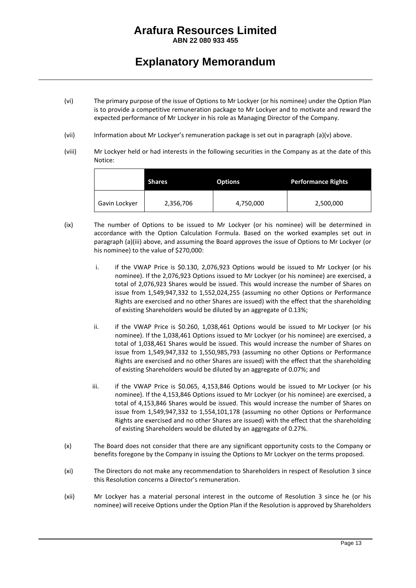**ABN 22 080 933 455**

### **Explanatory Memorandum**

- (vi) The primary purpose of the issue of Options to Mr Lockyer (or his nominee) under the Option Plan is to provide a competitive remuneration package to Mr Lockyer and to motivate and reward the expected performance of Mr Lockyer in his role as Managing Director of the Company.
- <span id="page-13-0"></span>(vii) Information about Mr Lockyer's remuneration package is set out in paragraph (a[\)\(v\)](#page-11-2) above.
- (viii) Mr Lockyer held or had interests in the following securities in the Company as at the date of this Notice:

|               | <b>Shares</b> | <b>Options</b> | <b>Performance Rights</b> |
|---------------|---------------|----------------|---------------------------|
| Gavin Lockyer | 2,356,706     | 4,750,000      | 2,500,000                 |

- (ix) The number of Options to be issued to Mr Lockyer (or his nominee) will be determined in accordance with the Option Calculation Formula. Based on the worked examples set out in paragraph (a[\)\(iii\)](#page-10-0) above, and assuming the Board approves the issue of Options to Mr Lockyer (or his nominee) to the value of \$270,000:
	- i. if the VWAP Price is \$0.130, 2,076,923 Options would be issued to Mr Lockyer (or his nominee). If the 2,076,923 Options issued to Mr Lockyer (or his nominee) are exercised, a total of 2,076,923 Shares would be issued. This would increase the number of Shares on issue from 1,549,947,332 to 1,552,024,255 (assuming no other Options or Performance Rights are exercised and no other Shares are issued) with the effect that the shareholding of existing Shareholders would be diluted by an aggregate of 0.13%;
	- ii. if the VWAP Price is \$0.260, 1,038,461 Options would be issued to Mr Lockyer (or his nominee). If the 1,038,461 Options issued to Mr Lockyer (or his nominee) are exercised, a total of 1,038,461 Shares would be issued. This would increase the number of Shares on issue from 1,549,947,332 to 1,550,985,793 (assuming no other Options or Performance Rights are exercised and no other Shares are issued) with the effect that the shareholding of existing Shareholders would be diluted by an aggregate of 0.07%; and
	- iii. if the VWAP Price is \$0.065, 4,153,846 Options would be issued to Mr Lockyer (or his nominee). If the 4,153,846 Options issued to Mr Lockyer (or his nominee) are exercised, a total of 4,153,846 Shares would be issued. This would increase the number of Shares on issue from 1,549,947,332 to 1,554,101,178 (assuming no other Options or Performance Rights are exercised and no other Shares are issued) with the effect that the shareholding of existing Shareholders would be diluted by an aggregate of 0.27%.
- (x) The Board does not consider that there are any significant opportunity costs to the Company or benefits foregone by the Company in issuing the Options to Mr Lockyer on the terms proposed.
- (xi) The Directors do not make any recommendation to Shareholders in respect of Resolution 3 since this Resolution concerns a Director's remuneration.
- (xii) Mr Lockyer has a material personal interest in the outcome of Resolution 3 since he (or his nominee) will receive Options under the Option Plan if the Resolution is approved by Shareholders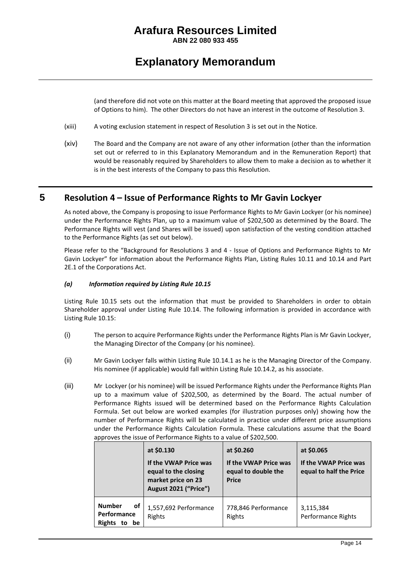**ABN 22 080 933 455**

### **Explanatory Memorandum**

(and therefore did not vote on this matter at the Board meeting that approved the proposed issue of Options to him). The other Directors do not have an interest in the outcome of Resolution 3.

- (xiii) A voting exclusion statement in respect of Resolution 3 is set out in the Notice.
- (xiv) The Board and the Company are not aware of any other information (other than the information set out or referred to in this Explanatory Memorandum and in the Remuneration Report) that would be reasonably required by Shareholders to allow them to make a decision as to whether it is in the best interests of the Company to pass this Resolution.

### **5 Resolution 4 – Issue of Performance Rights to Mr Gavin Lockyer**

As noted above, the Company is proposing to issue Performance Rights to Mr Gavin Lockyer (or his nominee) under the Performance Rights Plan, up to a maximum value of \$202,500 as determined by the Board. The Performance Rights will vest (and Shares will be issued) upon satisfaction of the vesting condition attached to the Performance Rights (as set out below).

Please refer to the "Background for Resolutions 3 and 4 - Issue of Options and Performance Rights to Mr Gavin Lockyer" for information about the Performance Rights Plan, Listing Rules 10.11 and 10.14 and Part 2E.1 of the Corporations Act.

#### *(a) Information required by Listing Rule 10.15*

Listing Rule 10.15 sets out the information that must be provided to Shareholders in order to obtain Shareholder approval under Listing Rule 10.14. The following information is provided in accordance with Listing Rule 10.15:

- (i) The person to acquire Performance Rights under the Performance Rights Plan is Mr Gavin Lockyer, the Managing Director of the Company (or his nominee).
- (ii) Mr Gavin Lockyer falls within Listing Rule 10.14.1 as he is the Managing Director of the Company. His nominee (if applicable) would fall within Listing Rule 10.14.2, as his associate.
- <span id="page-14-0"></span>(iii) Mr Lockyer (or his nominee) will be issued Performance Rights under the Performance Rights Plan up to a maximum value of \$202,500, as determined by the Board. The actual number of Performance Rights issued will be determined based on the Performance Rights Calculation Formula. Set out below are worked examples (for illustration purposes only) showing how the number of Performance Rights will be calculated in practice under different price assumptions under the Performance Rights Calculation Formula. These calculations assume that the Board approves the issue of Performance Rights to a value of \$202,500.

|                                                                 | at \$0.130<br>If the VWAP Price was<br>equal to the closing<br>market price on 23<br>August 2021 ("Price") | at \$0.260<br>If the VWAP Price was<br>equal to double the<br><b>Price</b> | at \$0.065<br>If the VWAP Price was<br>equal to half the Price |
|-----------------------------------------------------------------|------------------------------------------------------------------------------------------------------------|----------------------------------------------------------------------------|----------------------------------------------------------------|
| <b>Number</b><br>οf<br>Performance<br><b>Rights</b><br>be<br>to | 1,557,692 Performance<br>Rights                                                                            | 778,846 Performance<br>Rights                                              | 3,115,384<br>Performance Rights                                |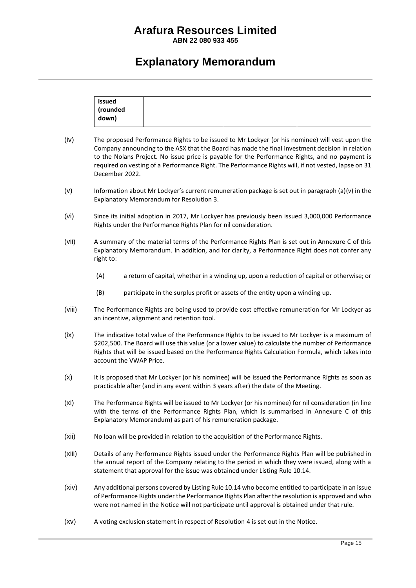**ABN 22 080 933 455**

### **Explanatory Memorandum**

| down) |
|-------|
|-------|

- (iv) The proposed Performance Rights to be issued to Mr Lockyer (or his nominee) will vest upon the Company announcing to the ASX that the Board has made the final investment decision in relation to the Nolans Project. No issue price is payable for the Performance Rights, and no payment is required on vesting of a Performance Right. The Performance Rights will, if not vested, lapse on 31 December 2022.
- (v) Information about Mr Lockyer's current remuneration package is set out in paragraph (a)[\(v\)](#page-11-2) in the Explanatory Memorandum for Resolution 3.
- (vi) Since its initial adoption in 2017, Mr Lockyer has previously been issued 3,000,000 Performance Rights under the Performance Rights Plan for nil consideration.
- (vii) A summary of the material terms of the Performance Rights Plan is set out in Annexure C of this Explanatory Memorandum. In addition, and for clarity, a Performance Right does not confer any right to:
	- (A) a return of capital, whether in a winding up, upon a reduction of capital or otherwise; or
	- (B) participate in the surplus profit or assets of the entity upon a winding up.
- (viii) The Performance Rights are being used to provide cost effective remuneration for Mr Lockyer as an incentive, alignment and retention tool.
- <span id="page-15-0"></span>(ix) The indicative total value of the Performance Rights to be issued to Mr Lockyer is a maximum of \$202,500. The Board will use this value (or a lower value) to calculate the number of Performance Rights that will be issued based on the Performance Rights Calculation Formula, which takes into account the VWAP Price.
- (x) It is proposed that Mr Lockyer (or his nominee) will be issued the Performance Rights as soon as practicable after (and in any event within 3 years after) the date of the Meeting.
- (xi) The Performance Rights will be issued to Mr Lockyer (or his nominee) for nil consideration (in line with the terms of the Performance Rights Plan, which is summarised in Annexure C of this Explanatory Memorandum) as part of his remuneration package.
- (xii) No loan will be provided in relation to the acquisition of the Performance Rights.
- (xiii) Details of any Performance Rights issued under the Performance Rights Plan will be published in the annual report of the Company relating to the period in which they were issued, along with a statement that approval for the issue was obtained under Listing Rule 10.14.
- (xiv) Any additional persons covered by Listing Rule 10.14 who become entitled to participate in an issue of Performance Rights under the Performance Rights Plan after the resolution is approved and who were not named in the Notice will not participate until approval is obtained under that rule.
- (xv) A voting exclusion statement in respect of Resolution 4 is set out in the Notice.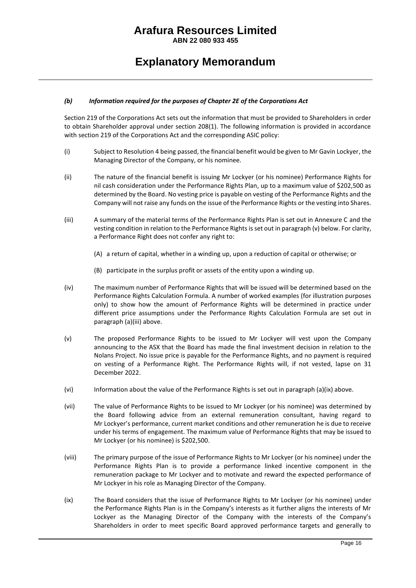**ABN 22 080 933 455**

### **Explanatory Memorandum**

#### *(b) Information required for the purposes of Chapter 2E of the Corporations Act*

Section 219 of the Corporations Act sets out the information that must be provided to Shareholders in order to obtain Shareholder approval under section 208(1). The following information is provided in accordance with section 219 of the Corporations Act and the corresponding ASIC policy:

- (i) Subject to Resolution 4 being passed, the financial benefit would be given to Mr Gavin Lockyer, the Managing Director of the Company, or his nominee.
- (ii) The nature of the financial benefit is issuing Mr Lockyer (or his nominee) Performance Rights for nil cash consideration under the Performance Rights Plan, up to a maximum value of \$202,500 as determined by the Board. No vesting price is payable on vesting of the Performance Rights and the Company will not raise any funds on the issue of the Performance Rights or the vesting into Shares.
- (iii) A summary of the material terms of the Performance Rights Plan is set out in Annexure C and the vesting condition in relation to the Performance Rights is set out in paragrap[h \(v\)](#page-16-0) below. For clarity, a Performance Right does not confer any right to:
	- (A) a return of capital, whether in a winding up, upon a reduction of capital or otherwise; or
	- (B) participate in the surplus profit or assets of the entity upon a winding up.
- (iv) The maximum number of Performance Rights that will be issued will be determined based on the Performance Rights Calculation Formula. A number of worked examples (for illustration purposes only) to show how the amount of Performance Rights will be determined in practice under different price assumptions under the Performance Rights Calculation Formula are set out in paragraph (a[\)\(iii\)](#page-14-0) above.
- <span id="page-16-0"></span>(v) The proposed Performance Rights to be issued to Mr Lockyer will vest upon the Company announcing to the ASX that the Board has made the final investment decision in relation to the Nolans Project. No issue price is payable for the Performance Rights, and no payment is required on vesting of a Performance Right. The Performance Rights will, if not vested, lapse on 31 December 2022.
- (vi) Information about the value of the Performance Rights is set out in paragraph (a[\)\(ix\)](#page-15-0) above.
- (vii) The value of Performance Rights to be issued to Mr Lockyer (or his nominee) was determined by the Board following advice from an external remuneration consultant, having regard to Mr Lockyer's performance, current market conditions and other remuneration he is due to receive under his terms of engagement. The maximum value of Performance Rights that may be issued to Mr Lockyer (or his nominee) is \$202,500.
- (viii) The primary purpose of the issue of Performance Rights to Mr Lockyer (or his nominee) under the Performance Rights Plan is to provide a performance linked incentive component in the remuneration package to Mr Lockyer and to motivate and reward the expected performance of Mr Lockyer in his role as Managing Director of the Company.
- (ix) The Board considers that the issue of Performance Rights to Mr Lockyer (or his nominee) under the Performance Rights Plan is in the Company's interests as it further aligns the interests of Mr Lockyer as the Managing Director of the Company with the interests of the Company's Shareholders in order to meet specific Board approved performance targets and generally to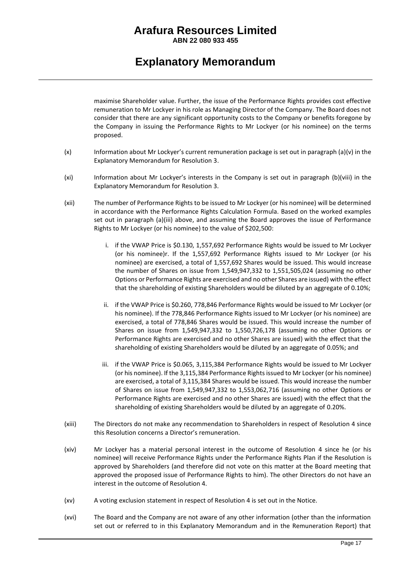**ABN 22 080 933 455**

### **Explanatory Memorandum**

maximise Shareholder value. Further, the issue of the Performance Rights provides cost effective remuneration to Mr Lockyer in his role as Managing Director of the Company. The Board does not consider that there are any significant opportunity costs to the Company or benefits foregone by the Company in issuing the Performance Rights to Mr Lockyer (or his nominee) on the terms proposed.

- (x) Information about Mr Lockyer's current remuneration package is set out in paragraph (a[\)\(v\)](#page-11-2) in the Explanatory Memorandum for Resolution 3.
- (xi) Information about Mr Lockyer's interests in the Company is set out in paragraph (b[\)\(viii\)](#page-13-0) in the Explanatory Memorandum for Resolution 3.
- (xii) The number of Performance Rights to be issued to Mr Lockyer (or his nominee) will be determined in accordance with the Performance Rights Calculation Formula. Based on the worked examples set out in paragraph (a)(iii) above, and assuming the Board approves the issue of Performance Rights to Mr Lockyer (or his nominee) to the value of \$202,500:
	- i. if the VWAP Price is \$0.130, 1,557,692 Performance Rights would be issued to Mr Lockyer (or his nominee)r. If the 1,557,692 Performance Rights issued to Mr Lockyer (or his nominee) are exercised, a total of 1,557,692 Shares would be issued. This would increase the number of Shares on issue from 1,549,947,332 to 1,551,505,024 (assuming no other Options or Performance Rights are exercised and no other Shares are issued) with the effect that the shareholding of existing Shareholders would be diluted by an aggregate of 0.10%;
	- ii. if the VWAP Price is \$0.260, 778,846 Performance Rights would be issued to Mr Lockyer (or his nominee). If the 778,846 Performance Rights issued to Mr Lockyer (or his nominee) are exercised, a total of 778,846 Shares would be issued. This would increase the number of Shares on issue from 1,549,947,332 to 1,550,726,178 (assuming no other Options or Performance Rights are exercised and no other Shares are issued) with the effect that the shareholding of existing Shareholders would be diluted by an aggregate of 0.05%; and
	- iii. if the VWAP Price is \$0.065, 3,115,384 Performance Rights would be issued to Mr Lockyer (or his nominee). If the 3,115,384 Performance Rights issued to Mr Lockyer (or his nominee) are exercised, a total of 3,115,384 Shares would be issued. This would increase the number of Shares on issue from 1,549,947,332 to 1,553,062,716 (assuming no other Options or Performance Rights are exercised and no other Shares are issued) with the effect that the shareholding of existing Shareholders would be diluted by an aggregate of 0.20%.
- (xiii) The Directors do not make any recommendation to Shareholders in respect of Resolution 4 since this Resolution concerns a Director's remuneration.
- (xiv) Mr Lockyer has a material personal interest in the outcome of Resolution 4 since he (or his nominee) will receive Performance Rights under the Performance Rights Plan if the Resolution is approved by Shareholders (and therefore did not vote on this matter at the Board meeting that approved the proposed issue of Performance Rights to him). The other Directors do not have an interest in the outcome of Resolution 4.
- (xv) A voting exclusion statement in respect of Resolution 4 is set out in the Notice.
- (xvi) The Board and the Company are not aware of any other information (other than the information set out or referred to in this Explanatory Memorandum and in the Remuneration Report) that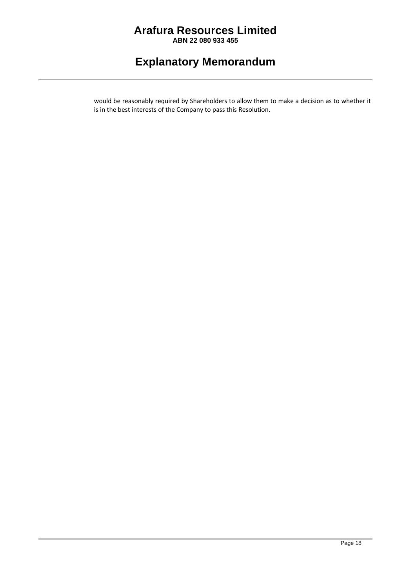**ABN 22 080 933 455**

### **Explanatory Memorandum**

would be reasonably required by Shareholders to allow them to make a decision as to whether it is in the best interests of the Company to pass this Resolution.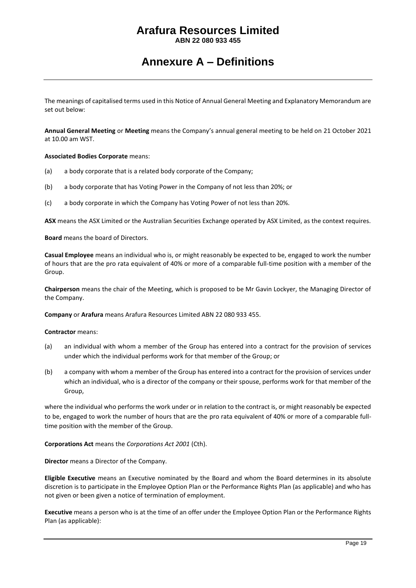**ABN 22 080 933 455**

### **Annexure A – Definitions**

The meanings of capitalised terms used in this Notice of Annual General Meeting and Explanatory Memorandum are set out below:

**Annual General Meeting** or **Meeting** means the Company's annual general meeting to be held on 21 October 2021 at 10.00 am WST.

#### **Associated Bodies Corporate** means:

- (a) a body corporate that is a related body corporate of the Company;
- (b) a body corporate that has Voting Power in the Company of not less than 20%; or
- (c) a body corporate in which the Company has Voting Power of not less than 20%.

**ASX** means the ASX Limited or the Australian Securities Exchange operated by ASX Limited, as the context requires.

**Board** means the board of Directors.

**Casual Employee** means an individual who is, or might reasonably be expected to be, engaged to work the number of hours that are the pro rata equivalent of 40% or more of a comparable full-time position with a member of the Group.

**Chairperson** means the chair of the Meeting, which is proposed to be Mr Gavin Lockyer, the Managing Director of the Company.

**Company** or **Arafura** means Arafura Resources Limited ABN 22 080 933 455.

#### **Contractor** means:

- (a) an individual with whom a member of the Group has entered into a contract for the provision of services under which the individual performs work for that member of the Group; or
- (b) a company with whom a member of the Group has entered into a contract for the provision of services under which an individual, who is a director of the company or their spouse, performs work for that member of the Group,

where the individual who performs the work under or in relation to the contract is, or might reasonably be expected to be, engaged to work the number of hours that are the pro rata equivalent of 40% or more of a comparable fulltime position with the member of the Group.

**Corporations Act** means the *Corporations Act 2001* (Cth).

**Director** means a Director of the Company.

**Eligible Executive** means an Executive nominated by the Board and whom the Board determines in its absolute discretion is to participate in the Employee Option Plan or the Performance Rights Plan (as applicable) and who has not given or been given a notice of termination of employment.

**Executive** means a person who is at the time of an offer under the Employee Option Plan or the Performance Rights Plan (as applicable):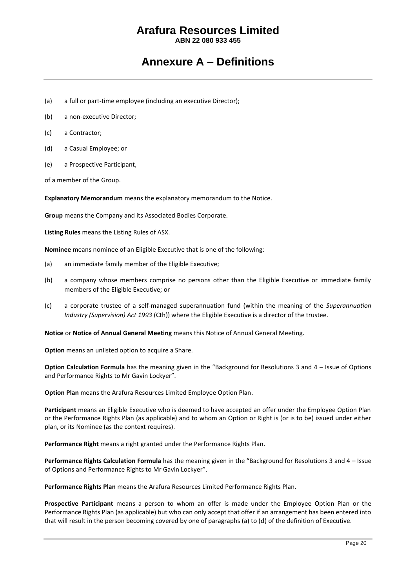**ABN 22 080 933 455**

### **Annexure A – Definitions**

- (a) a full or part-time employee (including an executive Director);
- (b) a non-executive Director;
- (c) a Contractor;
- (d) a Casual Employee; or
- (e) a Prospective Participant,

of a member of the Group.

**Explanatory Memorandum** means the explanatory memorandum to the Notice.

**Group** means the Company and its Associated Bodies Corporate.

**Listing Rules** means the Listing Rules of ASX.

**Nominee** means nominee of an Eligible Executive that is one of the following:

- (a) an immediate family member of the Eligible Executive;
- (b) a company whose members comprise no persons other than the Eligible Executive or immediate family members of the Eligible Executive; or
- (c) a corporate trustee of a self-managed superannuation fund (within the meaning of the *Superannuation Industry (Supervision) Act 1993* (Cth)) where the Eligible Executive is a director of the trustee.

**Notice** or **Notice of Annual General Meeting** means this Notice of Annual General Meeting.

**Option** means an unlisted option to acquire a Share.

**Option Calculation Formula** has the meaning given in the "Background for Resolutions 3 and 4 – Issue of Options and Performance Rights to Mr Gavin Lockyer".

**Option Plan** means the Arafura Resources Limited Employee Option Plan.

**Participant** means an Eligible Executive who is deemed to have accepted an offer under the Employee Option Plan or the Performance Rights Plan (as applicable) and to whom an Option or Right is (or is to be) issued under either plan, or its Nominee (as the context requires).

**Performance Right** means a right granted under the Performance Rights Plan.

**Performance Rights Calculation Formula** has the meaning given in the "Background for Resolutions 3 and 4 – Issue of Options and Performance Rights to Mr Gavin Lockyer".

**Performance Rights Plan** means the Arafura Resources Limited Performance Rights Plan.

**Prospective Participant** means a person to whom an offer is made under the Employee Option Plan or the Performance Rights Plan (as applicable) but who can only accept that offer if an arrangement has been entered into that will result in the person becoming covered by one of paragraphs (a) to (d) of the definition of Executive.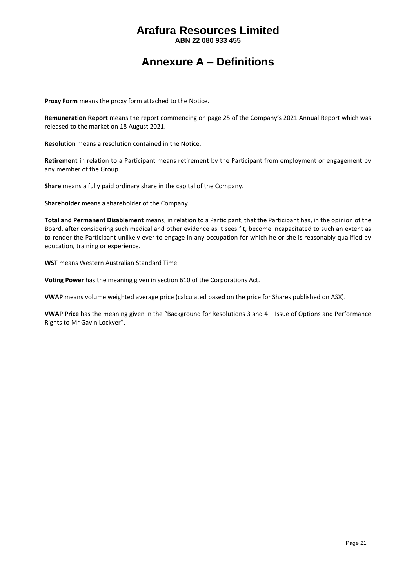**ABN 22 080 933 455**

### **Annexure A – Definitions**

**Proxy Form** means the proxy form attached to the Notice.

**Remuneration Report** means the report commencing on page 25 of the Company's 2021 Annual Report which was released to the market on 18 August 2021.

**Resolution** means a resolution contained in the Notice.

**Retirement** in relation to a Participant means retirement by the Participant from employment or engagement by any member of the Group.

**Share** means a fully paid ordinary share in the capital of the Company.

**Shareholder** means a shareholder of the Company.

**Total and Permanent Disablement** means, in relation to a Participant, that the Participant has, in the opinion of the Board, after considering such medical and other evidence as it sees fit, become incapacitated to such an extent as to render the Participant unlikely ever to engage in any occupation for which he or she is reasonably qualified by education, training or experience.

**WST** means Western Australian Standard Time.

**Voting Power** has the meaning given in section 610 of the Corporations Act.

**VWAP** means volume weighted average price (calculated based on the price for Shares published on ASX).

**VWAP Price** has the meaning given in the "Background for Resolutions 3 and 4 – Issue of Options and Performance Rights to Mr Gavin Lockyer".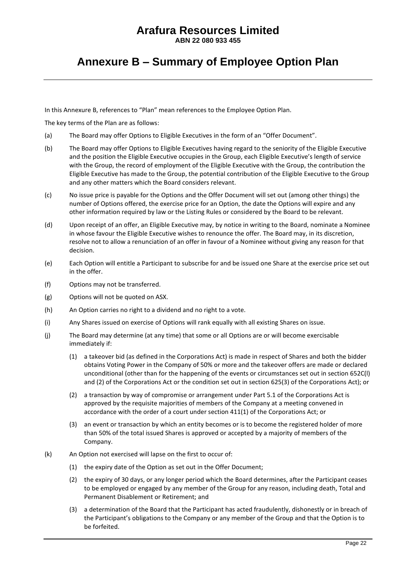**ABN 22 080 933 455**

### **Annexure B – Summary of Employee Option Plan**

In this Annexure B, references to "Plan" mean references to the Employee Option Plan.

The key terms of the Plan are as follows:

- (a) The Board may offer Options to Eligible Executives in the form of an "Offer Document".
- (b) The Board may offer Options to Eligible Executives having regard to the seniority of the Eligible Executive and the position the Eligible Executive occupies in the Group, each Eligible Executive's length of service with the Group, the record of employment of the Eligible Executive with the Group, the contribution the Eligible Executive has made to the Group, the potential contribution of the Eligible Executive to the Group and any other matters which the Board considers relevant.
- (c) No issue price is payable for the Options and the Offer Document will set out (among other things) the number of Options offered, the exercise price for an Option, the date the Options will expire and any other information required by law or the Listing Rules or considered by the Board to be relevant.
- (d) Upon receipt of an offer, an Eligible Executive may, by notice in writing to the Board, nominate a Nominee in whose favour the Eligible Executive wishes to renounce the offer. The Board may, in its discretion, resolve not to allow a renunciation of an offer in favour of a Nominee without giving any reason for that decision.
- (e) Each Option will entitle a Participant to subscribe for and be issued one Share at the exercise price set out in the offer.
- (f) Options may not be transferred.
- (g) Options will not be quoted on ASX.
- (h) An Option carries no right to a dividend and no right to a vote.
- (i) Any Shares issued on exercise of Options will rank equally with all existing Shares on issue.
- (j) The Board may determine (at any time) that some or all Options are or will become exercisable immediately if:
	- (1) a takeover bid (as defined in the Corporations Act) is made in respect of Shares and both the bidder obtains Voting Power in the Company of 50% or more and the takeover offers are made or declared unconditional (other than for the happening of the events or circumstances set out in section 652C(l) and (2) of the Corporations Act or the condition set out in section 625(3) of the Corporations Act); or
	- (2) a transaction by way of compromise or arrangement under Part 5.1 of the Corporations Act is approved by the requisite majorities of members of the Company at a meeting convened in accordance with the order of a court under section 411(1) of the Corporations Act; or
	- (3) an event or transaction by which an entity becomes or is to become the registered holder of more than 50% of the total issued Shares is approved or accepted by a majority of members of the Company.
- <span id="page-22-0"></span>(k) An Option not exercised will lapse on the first to occur of:
	- (1) the expiry date of the Option as set out in the Offer Document;
	- (2) the expiry of 30 days, or any longer period which the Board determines, after the Participant ceases to be employed or engaged by any member of the Group for any reason, including death, Total and Permanent Disablement or Retirement; and
	- (3) a determination of the Board that the Participant has acted fraudulently, dishonestly or in breach of the Participant's obligations to the Company or any member of the Group and that the Option is to be forfeited.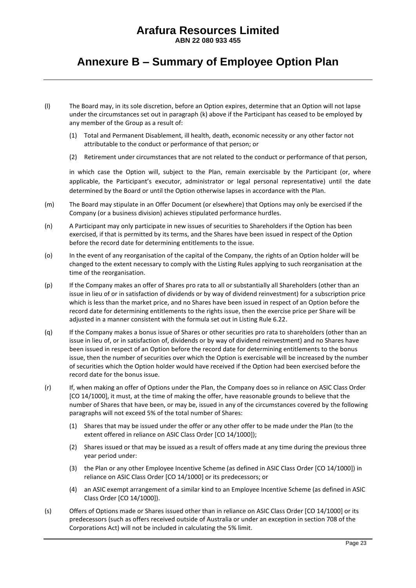**ABN 22 080 933 455**

### **Annexure B – Summary of Employee Option Plan**

- (l) The Board may, in its sole discretion, before an Option expires, determine that an Option will not lapse under the circumstances set out in paragraph [\(k\)](#page-22-0) above if the Participant has ceased to be employed by any member of the Group as a result of:
	- (1) Total and Permanent Disablement, ill health, death, economic necessity or any other factor not attributable to the conduct or performance of that person; or
	- (2) Retirement under circumstances that are not related to the conduct or performance of that person,

in which case the Option will, subject to the Plan, remain exercisable by the Participant (or, where applicable, the Participant's executor, administrator or legal personal representative) until the date determined by the Board or until the Option otherwise lapses in accordance with the Plan.

- (m) The Board may stipulate in an Offer Document (or elsewhere) that Options may only be exercised if the Company (or a business division) achieves stipulated performance hurdles.
- (n) A Participant may only participate in new issues of securities to Shareholders if the Option has been exercised, if that is permitted by its terms, and the Shares have been issued in respect of the Option before the record date for determining entitlements to the issue.
- (o) In the event of any reorganisation of the capital of the Company, the rights of an Option holder will be changed to the extent necessary to comply with the Listing Rules applying to such reorganisation at the time of the reorganisation.
- (p) If the Company makes an offer of Shares pro rata to all or substantially all Shareholders (other than an issue in lieu of or in satisfaction of dividends or by way of dividend reinvestment) for a subscription price which is less than the market price, and no Shares have been issued in respect of an Option before the record date for determining entitlements to the rights issue, then the exercise price per Share will be adjusted in a manner consistent with the formula set out in Listing Rule 6.22.
- (q) If the Company makes a bonus issue of Shares or other securities pro rata to shareholders (other than an issue in lieu of, or in satisfaction of, dividends or by way of dividend reinvestment) and no Shares have been issued in respect of an Option before the record date for determining entitlements to the bonus issue, then the number of securities over which the Option is exercisable will be increased by the number of securities which the Option holder would have received if the Option had been exercised before the record date for the bonus issue.
- (r) If, when making an offer of Options under the Plan, the Company does so in reliance on ASIC Class Order [CO 14/1000], it must, at the time of making the offer, have reasonable grounds to believe that the number of Shares that have been, or may be, issued in any of the circumstances covered by the following paragraphs will not exceed 5% of the total number of Shares:
	- (1) Shares that may be issued under the offer or any other offer to be made under the Plan (to the extent offered in reliance on ASIC Class Order [CO 14/1000]);
	- (2) Shares issued or that may be issued as a result of offers made at any time during the previous three year period under:
	- (3) the Plan or any other Employee Incentive Scheme (as defined in ASIC Class Order [CO 14/1000]) in reliance on ASIC Class Order [CO 14/1000] or its predecessors; or
	- (4) an ASIC exempt arrangement of a similar kind to an Employee Incentive Scheme (as defined in ASIC Class Order [CO 14/1000]).
- (s) Offers of Options made or Shares issued other than in reliance on ASIC Class Order [CO 14/1000] or its predecessors (such as offers received outside of Australia or under an exception in section 708 of the Corporations Act) will not be included in calculating the 5% limit.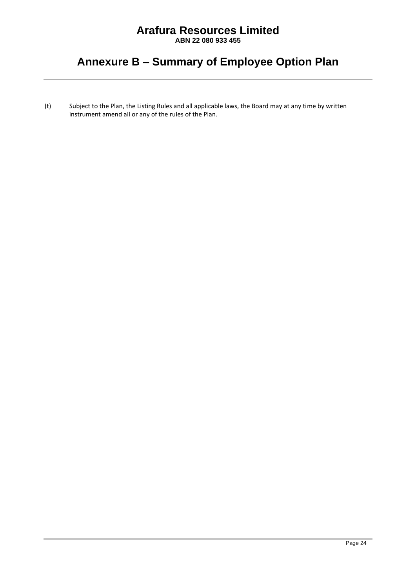**ABN 22 080 933 455**

### **Annexure B – Summary of Employee Option Plan**

(t) Subject to the Plan, the Listing Rules and all applicable laws, the Board may at any time by written instrument amend all or any of the rules of the Plan.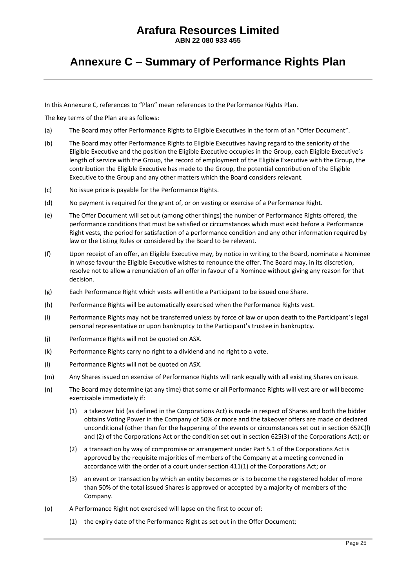**ABN 22 080 933 455**

### **Annexure C – Summary of Performance Rights Plan**

In this Annexure C, references to "Plan" mean references to the Performance Rights Plan.

The key terms of the Plan are as follows:

- (a) The Board may offer Performance Rights to Eligible Executives in the form of an "Offer Document".
- (b) The Board may offer Performance Rights to Eligible Executives having regard to the seniority of the Eligible Executive and the position the Eligible Executive occupies in the Group, each Eligible Executive's length of service with the Group, the record of employment of the Eligible Executive with the Group, the contribution the Eligible Executive has made to the Group, the potential contribution of the Eligible Executive to the Group and any other matters which the Board considers relevant.
- (c) No issue price is payable for the Performance Rights.
- (d) No payment is required for the grant of, or on vesting or exercise of a Performance Right.
- (e) The Offer Document will set out (among other things) the number of Performance Rights offered, the performance conditions that must be satisfied or circumstances which must exist before a Performance Right vests, the period for satisfaction of a performance condition and any other information required by law or the Listing Rules or considered by the Board to be relevant.
- (f) Upon receipt of an offer, an Eligible Executive may, by notice in writing to the Board, nominate a Nominee in whose favour the Eligible Executive wishes to renounce the offer. The Board may, in its discretion, resolve not to allow a renunciation of an offer in favour of a Nominee without giving any reason for that decision.
- (g) Each Performance Right which vests will entitle a Participant to be issued one Share.
- (h) Performance Rights will be automatically exercised when the Performance Rights vest.
- (i) Performance Rights may not be transferred unless by force of law or upon death to the Participant's legal personal representative or upon bankruptcy to the Participant's trustee in bankruptcy.
- (j) Performance Rights will not be quoted on ASX.
- (k) Performance Rights carry no right to a dividend and no right to a vote.
- (l) Performance Rights will not be quoted on ASX.
- (m) Any Shares issued on exercise of Performance Rights will rank equally with all existing Shares on issue.
- (n) The Board may determine (at any time) that some or all Performance Rights will vest are or will become exercisable immediately if:
	- (1) a takeover bid (as defined in the Corporations Act) is made in respect of Shares and both the bidder obtains Voting Power in the Company of 50% or more and the takeover offers are made or declared unconditional (other than for the happening of the events or circumstances set out in section 652C(l) and (2) of the Corporations Act or the condition set out in section 625(3) of the Corporations Act); or
	- (2) a transaction by way of compromise or arrangement under Part 5.1 of the Corporations Act is approved by the requisite majorities of members of the Company at a meeting convened in accordance with the order of a court under section 411(1) of the Corporations Act; or
	- (3) an event or transaction by which an entity becomes or is to become the registered holder of more than 50% of the total issued Shares is approved or accepted by a majority of members of the Company.
- (o) A Performance Right not exercised will lapse on the first to occur of:
	- (1) the expiry date of the Performance Right as set out in the Offer Document;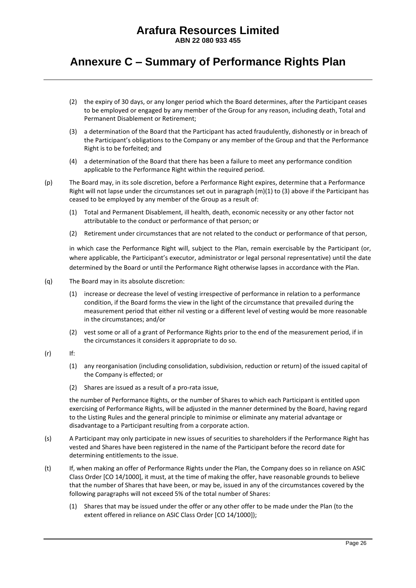**ABN 22 080 933 455**

### **Annexure C – Summary of Performance Rights Plan**

- (2) the expiry of 30 days, or any longer period which the Board determines, after the Participant ceases to be employed or engaged by any member of the Group for any reason, including death, Total and Permanent Disablement or Retirement;
- (3) a determination of the Board that the Participant has acted fraudulently, dishonestly or in breach of the Participant's obligations to the Company or any member of the Group and that the Performance Right is to be forfeited; and
- (4) a determination of the Board that there has been a failure to meet any performance condition applicable to the Performance Right within the required period.

(p) The Board may, in its sole discretion, before a Performance Right expires, determine that a Performance Right will not lapse under the circumstances set out in paragraph (m)(1) to (3) above if the Participant has ceased to be employed by any member of the Group as a result of:

- (1) Total and Permanent Disablement, ill health, death, economic necessity or any other factor not attributable to the conduct or performance of that person; or
- (2) Retirement under circumstances that are not related to the conduct or performance of that person,

in which case the Performance Right will, subject to the Plan, remain exercisable by the Participant (or, where applicable, the Participant's executor, administrator or legal personal representative) until the date determined by the Board or until the Performance Right otherwise lapses in accordance with the Plan.

- (q) The Board may in its absolute discretion:
	- (1) increase or decrease the level of vesting irrespective of performance in relation to a performance condition, if the Board forms the view in the light of the circumstance that prevailed during the measurement period that either nil vesting or a different level of vesting would be more reasonable in the circumstances; and/or
	- (2) vest some or all of a grant of Performance Rights prior to the end of the measurement period, if in the circumstances it considers it appropriate to do so.
- (r) If:
	- (1) any reorganisation (including consolidation, subdivision, reduction or return) of the issued capital of the Company is effected; or
	- (2) Shares are issued as a result of a pro-rata issue,

the number of Performance Rights, or the number of Shares to which each Participant is entitled upon exercising of Performance Rights, will be adjusted in the manner determined by the Board, having regard to the Listing Rules and the general principle to minimise or eliminate any material advantage or disadvantage to a Participant resulting from a corporate action.

- (s) A Participant may only participate in new issues of securities to shareholders if the Performance Right has vested and Shares have been registered in the name of the Participant before the record date for determining entitlements to the issue.
- (t) If, when making an offer of Performance Rights under the Plan, the Company does so in reliance on ASIC Class Order [CO 14/1000], it must, at the time of making the offer, have reasonable grounds to believe that the number of Shares that have been, or may be, issued in any of the circumstances covered by the following paragraphs will not exceed 5% of the total number of Shares:
	- (1) Shares that may be issued under the offer or any other offer to be made under the Plan (to the extent offered in reliance on ASIC Class Order [CO 14/1000]);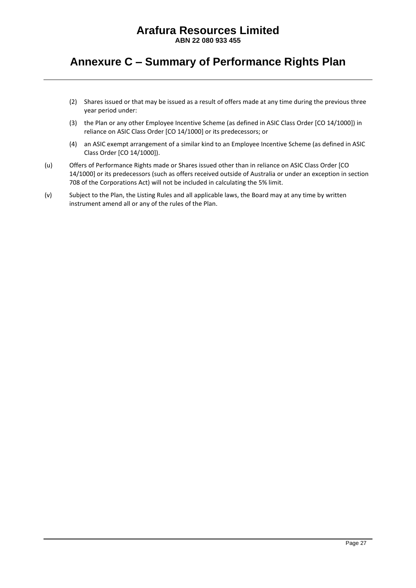**ABN 22 080 933 455**

### **Annexure C – Summary of Performance Rights Plan**

- (2) Shares issued or that may be issued as a result of offers made at any time during the previous three year period under:
- (3) the Plan or any other Employee Incentive Scheme (as defined in ASIC Class Order [CO 14/1000]) in reliance on ASIC Class Order [CO 14/1000] or its predecessors; or
- (4) an ASIC exempt arrangement of a similar kind to an Employee Incentive Scheme (as defined in ASIC Class Order [CO 14/1000]).
- (u) Offers of Performance Rights made or Shares issued other than in reliance on ASIC Class Order [CO 14/1000] or its predecessors (such as offers received outside of Australia or under an exception in section 708 of the Corporations Act) will not be included in calculating the 5% limit.
- (v) Subject to the Plan, the Listing Rules and all applicable laws, the Board may at any time by written instrument amend all or any of the rules of the Plan.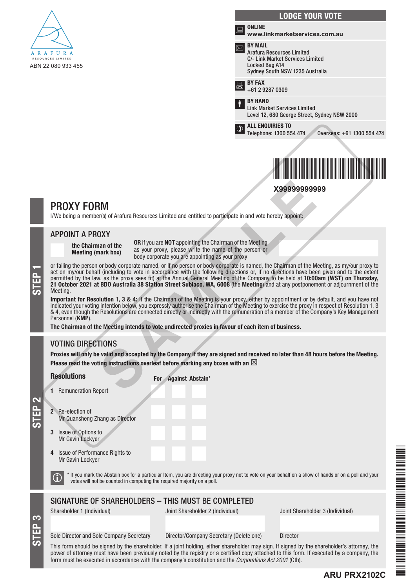

|              | <b>LODGE YOUR VOTE</b>                                                                                                                             |
|--------------|----------------------------------------------------------------------------------------------------------------------------------------------------|
| i.           | <b>ONLINE</b><br>www.linkmarketservices.com.au                                                                                                     |
|              | <b>BY MAIL</b><br><b>Arafura Resources Limited</b><br><b>C/- Link Market Services Limited</b><br>Locked Bag A14<br>Sydney South NSW 1235 Australia |
|              | <b>RY FAX</b><br>+61 2 9287 0309                                                                                                                   |
| İ            | <b>BY HAND</b><br><b>Link Market Services Limited</b><br>Level 12, 680 George Street, Sydney NSW 2000                                              |
| $^\circledR$ | <b>ALL ENQUIRIES TO</b><br>Telephone: 1300 554 474<br>Overseas: +61 1300 554 474                                                                   |
|              |                                                                                                                                                    |
|              |                                                                                                                                                    |

**X99999999999**

### PROXY FORM

I/We being a member(s) of Arafura Resources Limited and entitled to participate in and vote hereby appoint:

#### APPOINT A PROXY

the Chairman of the Meeting (mark box)

OR if you are NOT appointing the Chairman of the Meeting as your proxy, please write the name of the person or body corporate you are appointing as your proxy

or failing the person or body corporate named, or if no person or body corporate is named, the Chairman of the Meeting, as my/our proxy to act on my/our behalf (including to vote in accordance with the following directions act on my/our behalf (including to vote in accordance with the following directions or, if no directions have been given and to the extent permitted by the law, as the proxy sees fit) at the Annual General Meeting of the Company to be held at 10:00am (WST) on Thursday, 21 October 2021 at BDO Australia 38 Station Street Subiaco, WA, 6008 (the Meeting) and at any postponement or adjournment of the Meeting. **X9999999999**<br> **SAMPLET ACT AND THE CONDUCT CONSUMBENT AND THE CONDINERATION CONTRANT ARE SOURCE INTERENT ARE ORITY AND AND THE CONTRANT ARE ON THE CONTRANT AND A DATA THE CONTRANT AND A DATA THE OF THE AND THE CONTRANT A** 

Important for Resolution 1, 3 & 4: If the Chairman of the Meeting is your proxy, either by appointment or by default, and you have not indicated your voting intention below, you expressly authorise the Chairman of the Meeting to exercise the proxy in respect of Resolution 1, 3 & 4, even though the Resolutions are connected directly or indirectly with the remuneration of a member of the Company's Key Management Personnel (KMP).

The Chairman of the Meeting intends to vote undirected proxies in favour of each item of business.

### VOTING DIRECTIONS

Proxies will only be valid and accepted by the Company if they are signed and received no later than 48 hours before the Meeting. Please read the voting instructions overleaf before marking any boxes with an  $\boxtimes$ 

**Resolutions** 

2 Re-election of

For Against Abstain\*

 $\overline{\bullet}$ 

STEP 3

Mr Quansheng Zhang as Director

3 Issue of Options to Mr Gavin Lockyer

1 Remuneration Report

4 Issue of Performance Rights to Mr Gavin Lockyer



 $\bigcirc$   $^*$  If you mark the Abstain box for a particular Item, you are directing your proxy not to vote on your behalf on a show of hands or on a poll and your votes will not be counted in computing the required majority o

#### SIGNATURE OF SHAREHOLDERS – THIS MUST BE COMPLETED

Shareholder 1 (Individual) Joint Shareholder 2 (Individual) Joint Shareholder 3 (Individual)

**ARU PRX2102C**

Sole Director and Sole Company Secretary Director/Company Secretary (Delete one) Director

This form should be signed by the shareholder. If a joint holding, either shareholder may sign. If signed by the shareholder's attorney, the power of attorney must have been previously noted by the registry or a certified copy attached to this form. If executed by a company, the form must be executed in accordance with the company's constitution and the *Corporations Act 2001* (Cth).